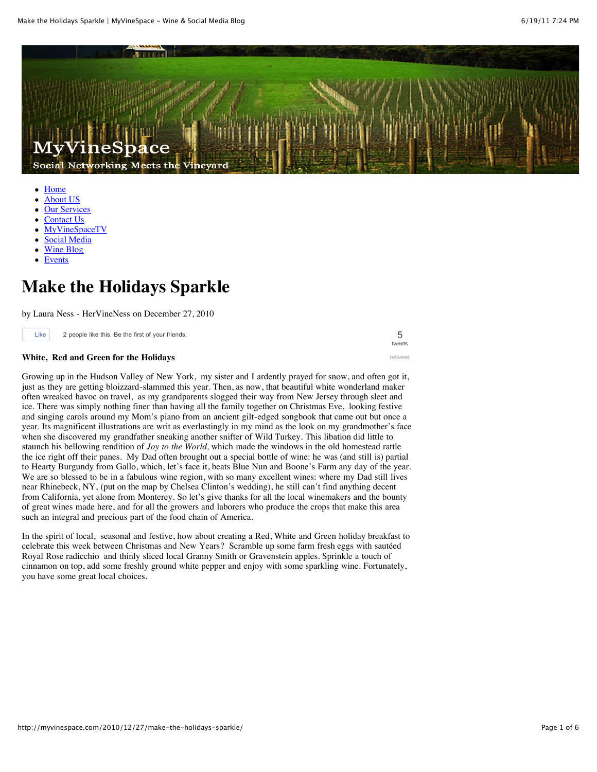

- [Home](http://myvinespace.com/)
- [About US](http://myvinespace.com/about/)
- **[Our Services](http://myvinespace.com/services/)**
- [Contact Us](http://myvinespace.com/contact/) [MyVineSpaceTV](http://myvinespace.com/myvinespacetv/)
- [Social Media](http://myvinespace.com/category/social_media/)
- [Wine Blog](http://myvinespace.com/category/wine_blog/)
- [Events](http://www.summittoseawinetrail.com/events-2/)

## **Make the Holidays Sparkle**

by Laura Ness - HerVineNess on December 27, 2010

Like 2 people like this. Be the first of your friends.

## **White, Red and Green for the Holidays**

Growing up in the Hudson Valley of New York, my sister and I ardently prayed for snow, and often got it, just as they are getting bloizzard-slammed this year. Then, as now, that beautiful white wonderland maker often wreaked havoc on travel, as my grandparents slogged their way from New Jersey through sleet and ice. There was simply nothing finer than having all the family together on Christmas Eve, looking festive and singing carols around my Mom's piano from an ancient gilt-edged songbook that came out but once a year. Its magnificent illustrations are writ as everlastingly in my mind as the look on my grandmother's face when she discovered my grandfather sneaking another snifter of Wild Turkey. This libation did little to staunch his bellowing rendition of *Joy to the World,* which made the windows in the old homestead rattle the ice right off their panes. My Dad often brought out a special bottle of wine: he was (and still is) partial to Hearty Burgundy from Gallo, which, let's face it, beats Blue Nun and Boone's Farm any day of the year. We are so blessed to be in a fabulous wine region, with so many excellent wines: where my Dad still lives near Rhinebeck, NY, (put on the map by Chelsea Clinton's wedding), he still can't find anything decent from California, yet alone from Monterey. So let's give thanks for all the local winemakers and the bounty of great wines made here, and for all the growers and laborers who produce the crops that make this area such an integral and precious part of the food chain of America.

In the spirit of local, seasonal and festive, how about creating a Red, White and Green holiday breakfast to celebrate this week between Christmas and New Years? Scramble up some farm fresh eggs with sautéed Royal Rose radicchio and thinly sliced local Granny Smith or Gravenstein apples. Sprinkle a touch of cinnamon on top, add some freshly ground white pepper and enjoy with some sparkling wine. Fortunately, you have some great local choices.

5 [tweets](http://tweetmeme.com/story/3536674765/)

[retweet](JavaScript:%20popup();)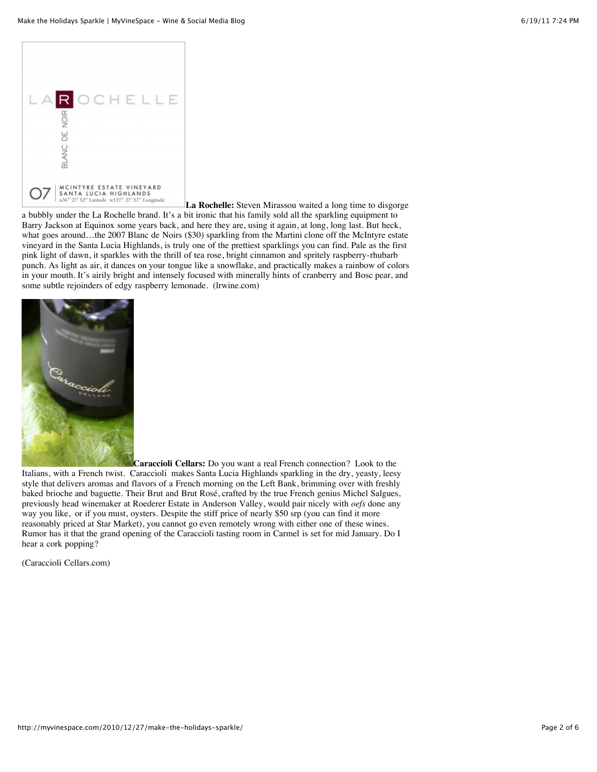

**La Rochelle:** Steven Mirassou waited a long time to disgorge a bubbly under the La Rochelle brand. It's a bit ironic that his family sold all the sparkling equipment to Barry Jackson at Equinox some years back, and here they are, using it again, at long, long last. But heck, what goes around…the 2007 Blanc de Noirs (\$30) sparkling from the Martini clone off the McIntyre estate vineyard in the Santa Lucia Highlands, is truly one of the prettiest sparklings you can find. Pale as the first pink light of dawn, it sparkles with the thrill of tea rose, bright cinnamon and spritely raspberry-rhubarb punch. As light as air, it dances on your tongue like a snowflake, and practically makes a rainbow of colors in your mouth. It's airily bright and intensely focused with minerally hints of cranberry and Bosc pear, and some subtle rejoinders of edgy raspberry lemonade. (lrwine.com)



**Caraccioli Cellars:** Do you want a real French connection? Look to the Italians, with a French twist. Caraccioli makes Santa Lucia Highlands sparkling in the dry, yeasty, leesy style that delivers aromas and flavors of a French morning on the Left Bank, brimming over with freshly baked brioche and baguette. Their Brut and Brut Rosé, crafted by the true French genius Michel Salgues, previously head winemaker at Roederer Estate in Anderson Valley, would pair nicely with *oefs* done any way you like, or if you must, oysters. Despite the stiff price of nearly \$50 srp (you can find it more reasonably priced at Star Market), you cannot go even remotely wrong with either one of these wines. Rumor has it that the grand opening of the Caraccioli tasting room in Carmel is set for mid January. Do I hear a cork popping?

(Caraccioli Cellars.com)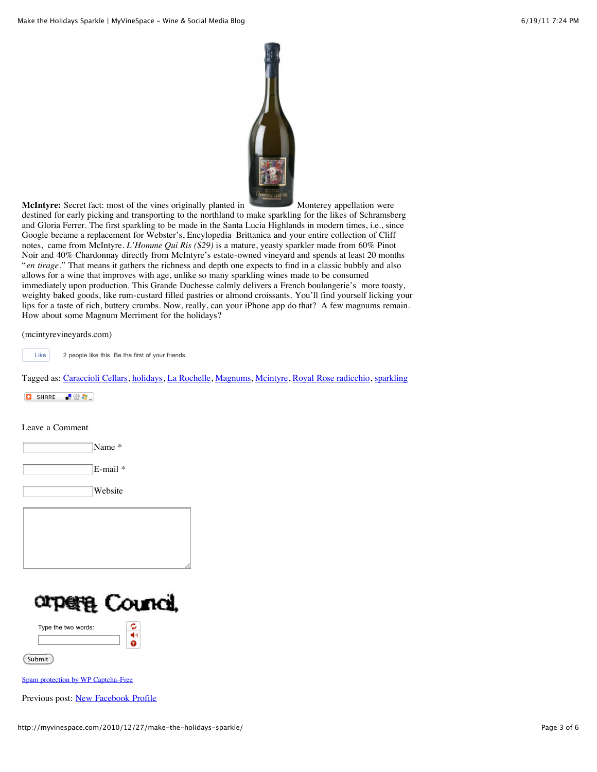

**McIntyre:** Secret fact: most of the vines originally planted in Monterey appellation were

destined for early picking and transporting to the northland to make sparkling for the likes of Schramsberg and Gloria Ferrer. The first sparkling to be made in the Santa Lucia Highlands in modern times, i.e., since Google became a replacement for Webster's, Encylopedia Brittanica and your entire collection of Cliff notes, came from McIntyre. *L'Homme Qui Ris (\$29)* is a mature, yeasty sparkler made from 60% Pinot Noir and 40% Chardonnay directly from McIntyre's estate-owned vineyard and spends at least 20 months "*en tirage*." That means it gathers the richness and depth one expects to find in a classic bubbly and also allows for a wine that improves with age, unlike so many sparkling wines made to be consumed immediately upon production. This Grande Duchesse calmly delivers a French boulangerie's more toasty, weighty baked goods, like rum-custard filled pastries or almond croissants. You'll find yourself licking your lips for a taste of rich, buttery crumbs. Now, really, can your iPhone app do that? A few magnums remain. How about some Magnum Merriment for the holidays?

(mcintyrevineyards.com)

Like 2 people like this. Be the first of your friends.

Tagged as: [Caraccioli Cellars](http://myvinespace.com/tag/caraccioli-cellars/), [holidays](http://myvinespace.com/tag/holidays/), [La Rochelle](http://myvinespace.com/tag/la-rochelle/), [Magnums](http://myvinespace.com/tag/magnums/), [Mcintyre,](http://myvinespace.com/tag/mcintyre/) [Royal Rose radicchio,](http://myvinespace.com/tag/royal-rose-radicchio/) [sparkling](http://myvinespace.com/tag/sparkling/)

 $\begin{bmatrix} 1 & 0 \\ 0 & 0 \end{bmatrix}$  SHARE  $\begin{bmatrix} 1 & 0 \\ 0 & 0 \end{bmatrix}$   $\begin{bmatrix} 1 & 0 \\ 0 & 0 \end{bmatrix}$ 

Leave a Comment

| Name *              |
|---------------------|
| $E$ -mail $*$       |
| Website             |
|                     |
|                     |
|                     |
| orpere Council,     |
| Type the two words: |
| Submit              |

[Spam protection by WP Captcha-Free](http://wordpresssupplies.com/wordpress-plugins/captcha-free/)

Previous post: [New Facebook Profile](http://myvinespace.com/2010/12/22/new-facebook-profile/)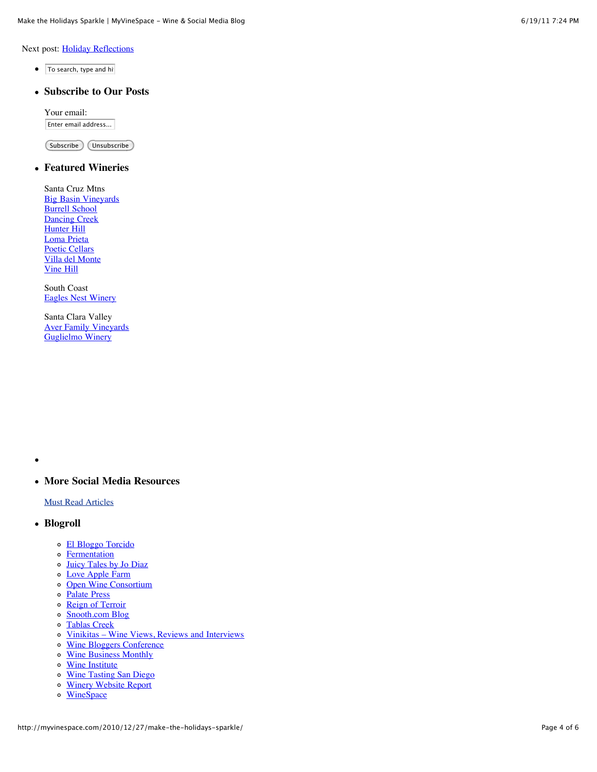Next post: [Holiday Reflections](http://myvinespace.com/2011/01/01/holiday-reflections/)

- $\bullet$   $\overline{\mathsf{T}}$ o search, type and hi
- **Subscribe to Our Posts**

Your email: Enter email address...

Subscribe Unsubscribe

## **Featured Wineries**

Santa Cruz Mtns [Big Basin Vineyards](http://myvinespace.com/category/bigbasin/) **[Burrell School](http://myvinespace.com/burrellschool)** [Dancing Creek](http://dancingcreekwinery.com/) [Hunter Hill](http://hunterhillwines.com/) [Loma Prieta](http://lomaprietawinery.com/) [Poetic Cellars](http://poeticcellars.com/) [Villa del Monte](http://villadelmontewinery.com/) [Vine Hill](http://vinehillwinery.com/)

South Coast [Eagles Nest Winery](http://winetastingsandiego.com/)

Santa Clara Valley [Aver Family Vineyards](http://averfamilyvineyards.com/) [Guglielmo Winery](http://guglielmowinery.com/)

 $\bullet$ 

**More Social Media Resources**

[Must Read Articles](http://myvinespace.com/social-media-resources/)

- **Blogroll**
	- [El Bloggo Torcido](http://www.elbloggotorcido.com/)
	- **o** [Fermentation](http://fermentation.typepad.com/fermentation/2009/11/the-return-of-my-wine-sniffing-nose.html)
	- [Juicy Tales by Jo Diaz](http://wine-blog.org/)
	- [Love Apple Farm](http://www.growbetterveggies.com/)
	- o [Open Wine Consortium](http://www.openwineconsortium.org/)
	- o [Palate Press](http://palatepress.com/2009/11/wine-for-women%E2%80%99s-attention/)
	- o [Reign of Terroir](http://reignofterroir.com/)
	- [Snooth.com Blog](http://blog.snooth.com/)
	- o [Tablas Creek](http://tablascreek.typepad.com/tablas/2009/11/does-social-media-sell-wine.html)
	- o [Vinikitas Wine Views, Reviews and Interviews](http://www.vinikitas.com/media/)
	- [Wine Bloggers Conference](http://winebloggersconference.org/)
	- [Wine Business Monthly](http://www.winebusiness.com/)
	- o [Wine Institute](http://www.wineinstitute.org/resources/statistics)
	- [Wine Tasting San Diego](http://winetastingSanDiego.com/)
	- [Winery Website Report](http://blog.winerywebsitereport.com/)
	- **[WineSpace](http://winespace.donatifamilyvineyard.com/)**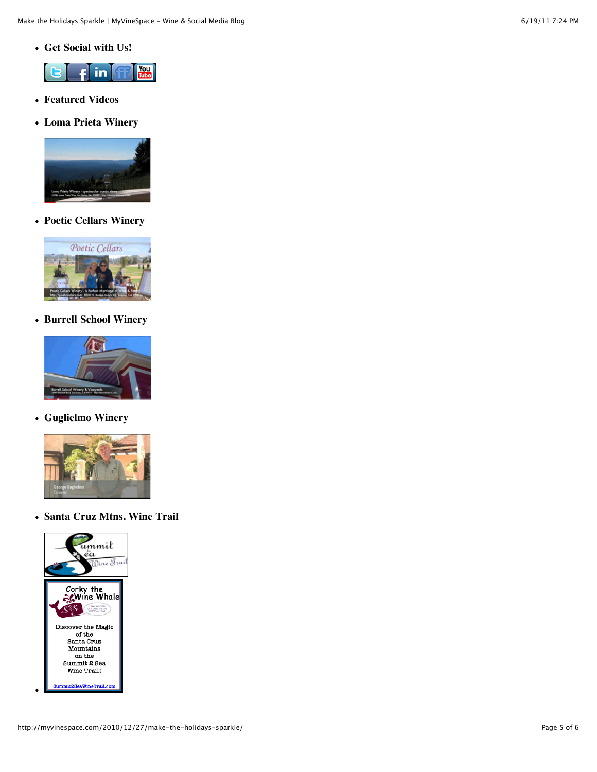**Get Social with Us!**



- **Featured Videos**
- **Loma Prieta Winery**



**Poetic Cellars Winery**



**Burrell School Winery**



**Guglielmo Winery**



**Santa Cruz Mtns. Wine Trail**